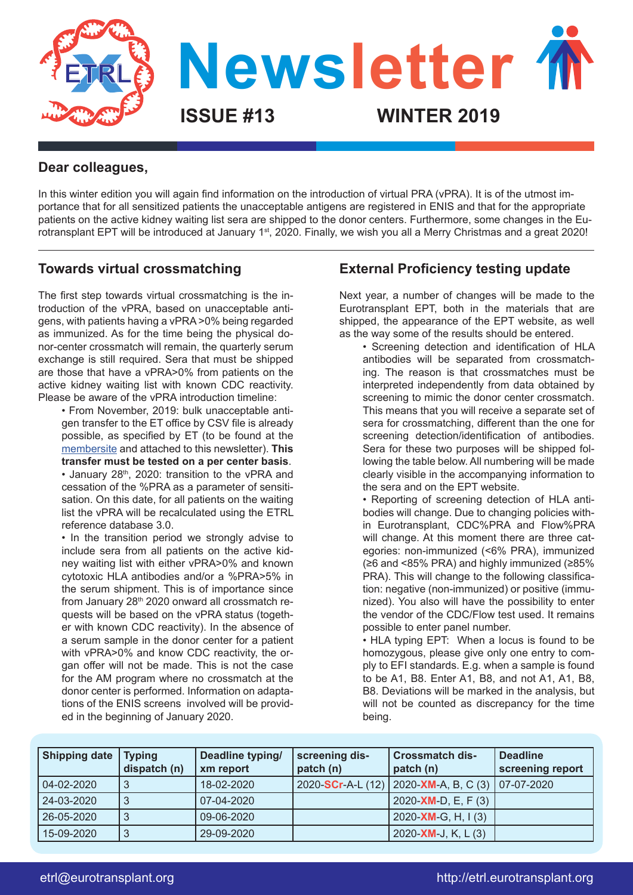

### **Dear colleagues,**

In this winter edition you will again find information on the introduction of virtual PRA (vPRA). It is of the utmost importance that for all sensitized patients the unacceptable antigens are registered in ENIS and that for the appropriate patients on the active kidney waiting list sera are shipped to the donor centers. Furthermore, some changes in the Eurotransplant EPT will be introduced at January 1<sup>st</sup>, 2020. Finally, we wish you all a Merry Christmas and a great 2020!

### **Towards virtual crossmatching**

The first step towards virtual crossmatching is the introduction of the vPRA, based on unacceptable antigens, with patients having a vPRA >0% being regarded as immunized. As for the time being the physical donor-center crossmatch will remain, the quarterly serum exchange is still required. Sera that must be shipped are those that have a vPRA>0% from patients on the active kidney waiting list with known CDC reactivity. Please be aware of the vPRA introduction timeline:

• From November, 2019: bulk unacceptable antigen transfer to the ET office by CSV file is already possible, as specified by ET (to be found at the [membersite](https://members.eurotransplant.org/cms/mediaobject.php?file=Specifications+Unacceptables+General+20191030.pdf) and attached to this newsletter). **This transfer must be tested on a per center basis**. • January 28<sup>th</sup>, 2020: transition to the vPRA and cessation of the %PRA as a parameter of sensitisation. On this date, for all patients on the waiting list the vPRA will be recalculated using the ETRL reference database 3.0.

• In the transition period we strongly advise to include sera from all patients on the active kidney waiting list with either vPRA>0% and known cytotoxic HLA antibodies and/or a %PRA>5% in the serum shipment. This is of importance since from January  $28<sup>th</sup> 2020$  onward all crossmatch requests will be based on the vPRA status (together with known CDC reactivity). In the absence of a serum sample in the donor center for a patient with vPRA>0% and know CDC reactivity, the organ offer will not be made. This is not the case for the AM program where no crossmatch at the donor center is performed. Information on adaptations of the ENIS screens involved will be provided in the beginning of January 2020.

# **External Proficiency testing update**

Next year, a number of changes will be made to the Eurotransplant EPT, both in the materials that are shipped, the appearance of the EPT website, as well as the way some of the results should be entered.

• Screening detection and identification of HLA antibodies will be separated from crossmatching. The reason is that crossmatches must be interpreted independently from data obtained by screening to mimic the donor center crossmatch. This means that you will receive a separate set of sera for crossmatching, different than the one for screening detection/identification of antibodies. Sera for these two purposes will be shipped following the table below. All numbering will be made clearly visible in the accompanying information to the sera and on the EPT website.

• Reporting of screening detection of HLA antibodies will change. Due to changing policies within Eurotransplant, CDC%PRA and Flow%PRA will change. At this moment there are three categories: non-immunized (<6% PRA), immunized (≥6 and <85% PRA) and highly immunized (≥85% PRA). This will change to the following classification: negative (non-immunized) or positive (immunized). You also will have the possibility to enter the vendor of the CDC/Flow test used. It remains possible to enter panel number.

• HLA typing EPT: When a locus is found to be homozygous, please give only one entry to comply to EFI standards. E.g. when a sample is found to be A1, B8. Enter A1, B8, and not A1, A1, B8, B8. Deviations will be marked in the analysis, but will not be counted as discrepancy for the time being.

| <b>Shipping date</b> | <b>Typing</b><br>dispatch (n) | Deadline typing/<br>xm report | screening dis-<br>patch (n) | <b>Crossmatch dis-</b><br>patch (n)            | <b>Deadline</b><br>screening report |
|----------------------|-------------------------------|-------------------------------|-----------------------------|------------------------------------------------|-------------------------------------|
| 04-02-2020           | 3                             | 18-02-2020                    | 2020-SCr-A-L (12)           | $\vert$ 2020-XM-A, B, C (3) $\vert$ 07-07-2020 |                                     |
| 24-03-2020           | 3                             | 07-04-2020                    |                             | 2020-XM-D, E, F $(3)$                          |                                     |
| 26-05-2020           | 3                             | 09-06-2020                    |                             | 2020-XM-G, H, I $(3)$                          |                                     |
| 15-09-2020           | ঽ                             | 29-09-2020                    |                             | 2020-XM-J, K, L $(3)$                          |                                     |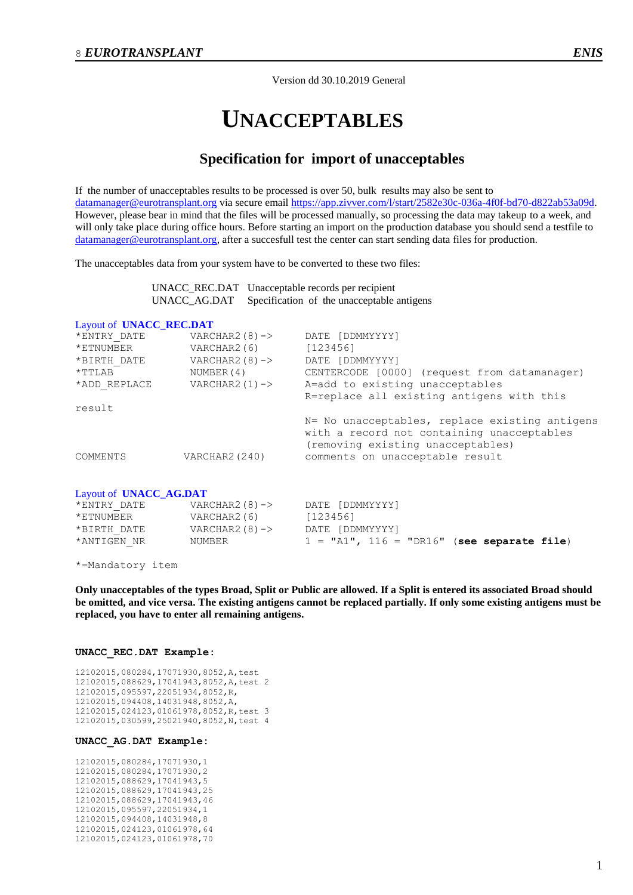Version dd 30.10.2019 General

# **UNACCEPTABLES**

## **Specification for import of unacceptables**

If the number of unacceptables results to be processed is over 50, bulk results may also be sent to [datamanager@eurotransplant.org](mailto:datamanager@eurotransplant.org) via secure email [https://app.zivver.com/l/start/2582e30c-036a-4f0f-bd70-d822ab53a09d.](https://app.zivver.com/l/start/2582e30c-036a-4f0f-bd70-d822ab53a09d) However, please bear in mind that the files will be processed manually, so processing the data may takeup to a week, and will only take place during office hours. Before starting an import on the production database you should send a testfile to [datamanager@eurotransplant.org,](mailto:datamanager@eurotransplant.org) after a succesfull test the center can start sending data files for production.

The unacceptables data from your system have to be converted to these two files:

| UNACC_REC.DAT Unacceptable records per recipient        |
|---------------------------------------------------------|
| UNACC_AG.DAT Specification of the unacceptable antigens |

### Layout of **UNACC\_REC.DAT**

| *ENTRY DATE  | VARCHAR2 $(8)$ -> | DATE [DDMMYYYY]                                                                                                                   |
|--------------|-------------------|-----------------------------------------------------------------------------------------------------------------------------------|
| *ETNUMBER    | VARCHAR2(6)       | [123456]                                                                                                                          |
| *BIRTH DATE  | VARCHAR2 $(8)$ -> | DATE [DDMMYYYY]                                                                                                                   |
| $*$ TTLAB    | NUMBER (4)        | CENTERCODE [0000] (request from datamanager)                                                                                      |
| *ADD REPLACE | VARCHAR2 $(1)$ -> | A=add to existing unacceptables                                                                                                   |
|              |                   | R=replace all existing antigens with this                                                                                         |
| result       |                   |                                                                                                                                   |
|              |                   | N= No unacceptables, replace existing antigens<br>with a record not containing unacceptables<br>(removing existing unacceptables) |
| COMMENTS     | VARCHAR2 (240)    | comments on unacceptable result                                                                                                   |
|              |                   |                                                                                                                                   |

### Layout of **UNACC\_AG.DAT**

| *ENTRY DATE | VARCHAR2 $(8)$ -> | DATE [DDMMYYYY]                               |
|-------------|-------------------|-----------------------------------------------|
| *ETNUMBER   | VARCHAR2(6)       | [123456]                                      |
| *BIRTH DATE | VARCHAR $2(8)$ -> | DATE [DDMMYYYY]                               |
| *ANTIGEN NR | NUMBER            | $1 = "A1", 116 = "D R16"$ (see separate file) |

\*=Mandatory item

**Only unacceptables of the types Broad, Split or Public are allowed. If a Split is entered its associated Broad should be omitted, and vice versa. The existing antigens cannot be replaced partially. If only some existing antigens must be replaced, you have to enter all remaining antigens.**

#### **UNACC\_REC.DAT Example:**

12102015,080284,17071930,8052,A,test 12102015,088629,17041943,8052,A,test 2 12102015,095597,22051934,8052,R, 12102015,094408,14031948,8052,A, 12102015,024123,01061978,8052,R,test 3 12102015,030599,25021940,8052,N,test 4

### **UNACC\_AG.DAT Example:**

12102015,080284,17071930,1 12102015,080284,17071930,2 12102015,088629,17041943,5 12102015,088629,17041943,25 12102015,088629,17041943,46 12102015,095597,22051934,1 12102015,094408,14031948,8 12102015,024123,01061978,64 12102015,024123,01061978,70